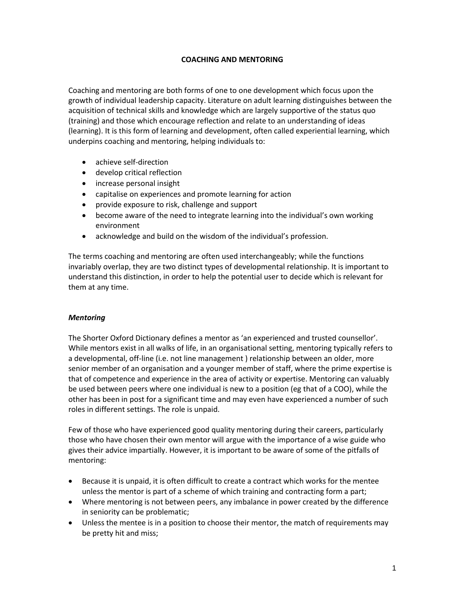## **COACHING AND MENTORING**

Coaching and mentoring are both forms of one to one development which focus upon the growth of individual leadership capacity. Literature on adult learning distinguishes between the acquisition of technical skills and knowledge which are largely supportive of the status quo (training) and those which encourage reflection and relate to an understanding of ideas (learning). It is this form of learning and development, often called experiential learning, which underpins coaching and mentoring, helping individuals to:

- achieve self-direction
- develop critical reflection
- increase personal insight
- capitalise on experiences and promote learning for action
- provide exposure to risk, challenge and support
- become aware of the need to integrate learning into the individual's own working environment
- acknowledge and build on the wisdom of the individual's profession.

The terms coaching and mentoring are often used interchangeably; while the functions invariably overlap, they are two distinct types of developmental relationship. It is important to understand this distinction, in order to help the potential user to decide which is relevant for them at any time.

## *Mentoring*

The Shorter Oxford Dictionary defines a mentor as 'an experienced and trusted counsellor'. While mentors exist in all walks of life, in an organisational setting, mentoring typically refers to a developmental, off-line (i.e. not line management ) relationship between an older, more senior member of an organisation and a younger member of staff, where the prime expertise is that of competence and experience in the area of activity or expertise. Mentoring can valuably be used between peers where one individual is new to a position (eg that of a COO), while the other has been in post for a significant time and may even have experienced a number of such roles in different settings. The role is unpaid.

Few of those who have experienced good quality mentoring during their careers, particularly those who have chosen their own mentor will argue with the importance of a wise guide who gives their advice impartially. However, it is important to be aware of some of the pitfalls of mentoring:

- Because it is unpaid, it is often difficult to create a contract which works for the mentee unless the mentor is part of a scheme of which training and contracting form a part;
- Where mentoring is not between peers, any imbalance in power created by the difference in seniority can be problematic;
- Unless the mentee is in a position to choose their mentor, the match of requirements may be pretty hit and miss;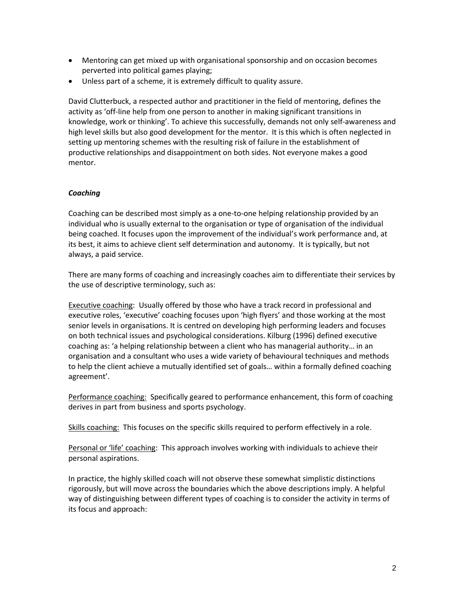- Mentoring can get mixed up with organisational sponsorship and on occasion becomes perverted into political games playing;
- Unless part of a scheme, it is extremely difficult to quality assure.

David Clutterbuck, a respected author and practitioner in the field of mentoring, defines the activity as 'off-line help from one person to another in making significant transitions in knowledge, work or thinking'. To achieve this successfully, demands not only self-awareness and high level skills but also good development for the mentor. It is this which is often neglected in setting up mentoring schemes with the resulting risk of failure in the establishment of productive relationships and disappointment on both sides. Not everyone makes a good mentor.

# *Coaching*

Coaching can be described most simply as a one-to-one helping relationship provided by an individual who is usually external to the organisation or type of organisation of the individual being coached. It focuses upon the improvement of the individual's work performance and, at its best, it aims to achieve client self determination and autonomy. It is typically, but not always, a paid service.

There are many forms of coaching and increasingly coaches aim to differentiate their services by the use of descriptive terminology, such as:

Executive coaching: Usually offered by those who have a track record in professional and executive roles, 'executive' coaching focuses upon 'high flyers' and those working at the most senior levels in organisations. It is centred on developing high performing leaders and focuses on both technical issues and psychological considerations. Kilburg (1996) defined executive coaching as: 'a helping relationship between a client who has managerial authority… in an organisation and a consultant who uses a wide variety of behavioural techniques and methods to help the client achieve a mutually identified set of goals… within a formally defined coaching agreement'.

Performance coaching: Specifically geared to performance enhancement, this form of coaching derives in part from business and sports psychology.

Skills coaching:This focuses on the specific skills required to perform effectively in a role.

Personal or 'life' coaching: This approach involves working with individuals to achieve their personal aspirations.

In practice, the highly skilled coach will not observe these somewhat simplistic distinctions rigorously, but will move across the boundaries which the above descriptions imply. A helpful way of distinguishing between different types of coaching is to consider the activity in terms of its focus and approach: